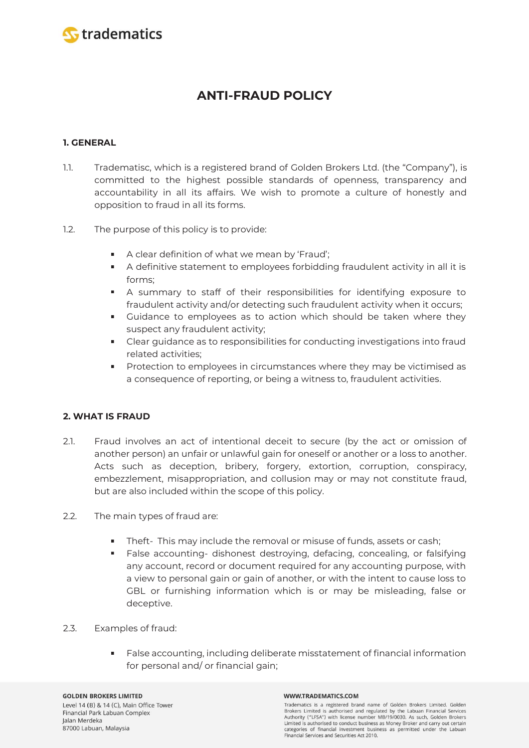

# **ANTI-FRAUD POLICY**

# **1. GENERAL**

- 1.1. Tradematisc, which is a registered brand of Golden Brokers Ltd. (the "Company"), is committed to the highest possible standards of openness, transparency and accountability in all its affairs. We wish to promote a culture of honestly and opposition to fraud in all its forms.
- 1.2. The purpose of this policy is to provide:
	- A clear definition of what we mean by 'Fraud';
	- $\mathbf{u}$ A definitive statement to employees forbidding fraudulent activity in all it is forms;
	- A summary to staff of their responsibilities for identifying exposure to fraudulent activity and/or detecting such fraudulent activity when it occurs;
	- Guidance to employees as to action which should be taken where they suspect any fraudulent activity;
	- Clear guidance as to responsibilities for conducting investigations into fraud related activities;
	- Protection to employees in circumstances where they may be victimised as a consequence of reporting, or being a witness to, fraudulent activities.

## **2. WHAT IS FRAUD**

- 2.1. Fraud involves an act of intentional deceit to secure (by the act or omission of another person) an unfair or unlawful gain for oneself or another or a loss to another. Acts such as deception, bribery, forgery, extortion, corruption, conspiracy, embezzlement, misappropriation, and collusion may or may not constitute fraud, but are also included within the scope of this policy.
- 2.2. The main types of fraud are:
	- m. Theft- This may include the removal or misuse of funds, assets or cash;
	- m. False accounting- dishonest destroying, defacing, concealing, or falsifying any account, record or document required for any accounting purpose, with a view to personal gain or gain of another, or with the intent to cause loss to GBL or furnishing information which is or may be misleading, false or deceptive.
- 2.3. Examples of fraud:
	- False accounting, including deliberate misstatement of financial information for personal and/ or financial gain;

#### WWW.TRADEMATICS.COM

Tradematics is a registered brand name of Golden Brokers Limited. Golden Brokers Limited is authorised and regulated by the Labuan Financial Services Authority ("LFSA") with license number MB/19/0030. As such, Golden Brokers Limited is authorised to conduct business as Money Broker and carry out certain categories of financial investment business as permitted under the Labuan Financial Services and Securities Act 2010.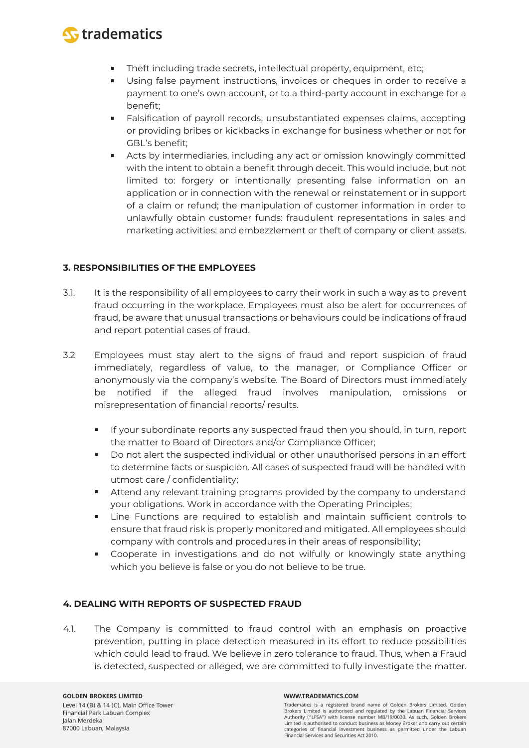

- Theft including trade secrets, intellectual property, equipment, etc; ٠
- Using false payment instructions, invoices or cheques in order to receive a  $\blacksquare$ payment to one's own account, or to a third-party account in exchange for a benefit;
- Falsification of payroll records, unsubstantiated expenses claims, accepting **Contract** or providing bribes or kickbacks in exchange for business whether or not for GBL's benefit;
- **College** Acts by intermediaries, including any act or omission knowingly committed with the intent to obtain a benefit through deceit. This would include, but not limited to: forgery or intentionally presenting false information on an application or in connection with the renewal or reinstatement or in support of a claim or refund; the manipulation of customer information in order to unlawfully obtain customer funds: fraudulent representations in sales and marketing activities: and embezzlement or theft of company or client assets.

## **3. RESPONSIBILITIES OF THE EMPLOYEES**

- 3.1. It is the responsibility of all employees to carry their work in such a way as to prevent fraud occurring in the workplace. Employees must also be alert for occurrences of fraud, be aware that unusual transactions or behaviours could be indications of fraud and report potential cases of fraud.
- 3.2 Employees must stay alert to the signs of fraud and report suspicion of fraud immediately, regardless of value, to the manager, or Compliance Officer or anonymously via the company's website. The Board of Directors must immediately be notified if the alleged fraud involves manipulation, omissions or misrepresentation of financial reports/ results.
	- If your subordinate reports any suspected fraud then you should, in turn, report  $\blacksquare$ the matter to Board of Directors and/or Compliance Officer;
	- $\mathbf{u}$ Do not alert the suspected individual or other unauthorised persons in an effort to determine facts or suspicion. All cases of suspected fraud will be handled with utmost care / confidentiality;
	- Attend any relevant training programs provided by the company to understand your obligations. Work in accordance with the Operating Principles;
	- Line Functions are required to establish and maintain sufficient controls to ensure that fraud risk is properly monitored and mitigated. All employees should company with controls and procedures in their areas of responsibility;
	- Cooperate in investigations and do not wilfully or knowingly state anything which you believe is false or you do not believe to be true.

### **4. DEALING WITH REPORTS OF SUSPECTED FRAUD**

4.1. The Company is committed to fraud control with an emphasis on proactive prevention, putting in place detection measured in its effort to reduce possibilities which could lead to fraud. We believe in zero tolerance to fraud. Thus, when a Fraud is detected, suspected or alleged, we are committed to fully investigate the matter.

#### WWW.TRADEMATICS.COM

Tradematics is a registered brand name of Golden Brokers Limited. Golden Brokers Limited is authorised and regulated by the Labuan Financial Services Authority ("LFSA") with license number MB/19/0030. As such, Golden Brokers Limited is authorised to conduct business as Money Broker and carry out certain categories of financial investment business as permitted under the Labuan Financial Services and Securities Act 2010.